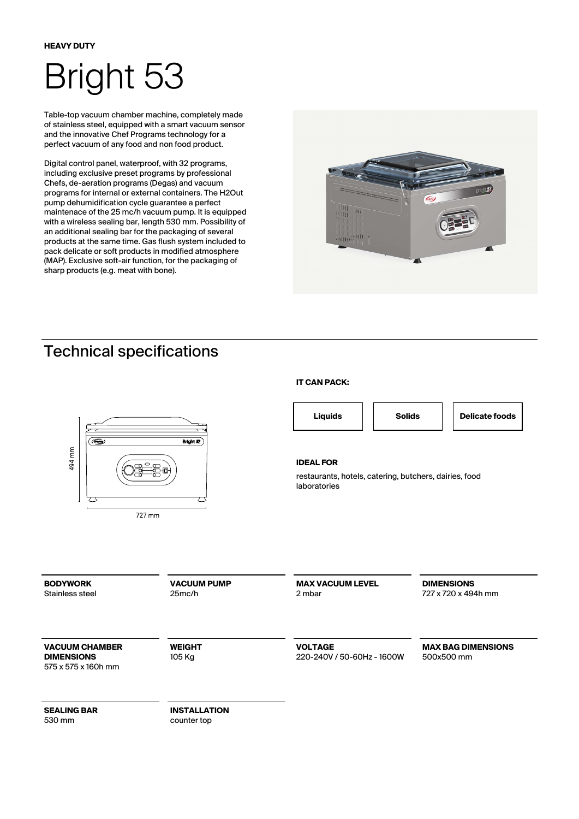# Bright 53

Table-top vacuum chamber machine, completely made of stainless steel, equipped with a smart vacuum sensor and the innovative Chef Programs technology for a perfect vacuum of any food and non food product.

Digital control panel, waterproof, with 32 programs, including exclusive preset programs by professional Chefs, de-aeration programs (Degas) and vacuum programs for internal or external containers. The H2Out pump dehumidification cycle guarantee a perfect maintenace of the 25 mc/h vacuum pump. It is equipped with a wireless sealing bar, length 530 mm. Possibility of an additional sealing bar for the packaging of several products at the same time. Gas flush system included to pack delicate or soft products in modified atmosphere (MAP). Exclusive soft-air function, for the packaging of sharp products (e.g. meat with bone).



## Technical specifications



#### **IT CAN PACK:**